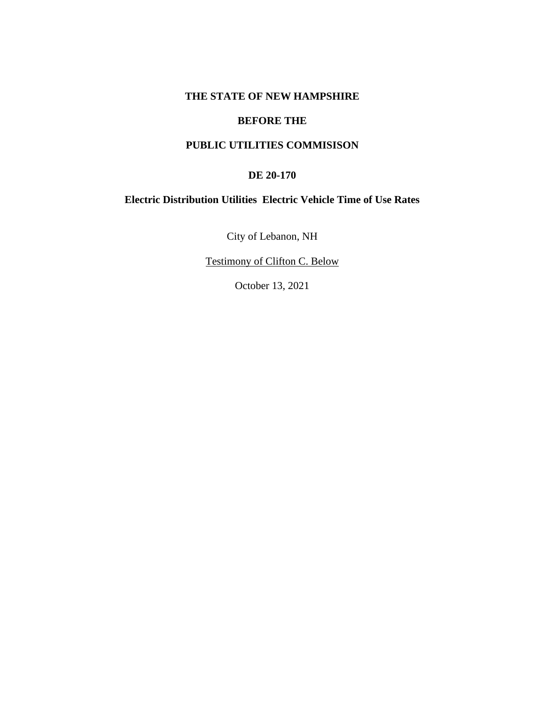# **THE STATE OF NEW HAMPSHIRE**

### **BEFORE THE**

# **PUBLIC UTILITIES COMMISISON**

#### **DE 20-170**

# **Electric Distribution Utilities Electric Vehicle Time of Use Rates**

City of Lebanon, NH

Testimony of Clifton C. Below

October 13, 2021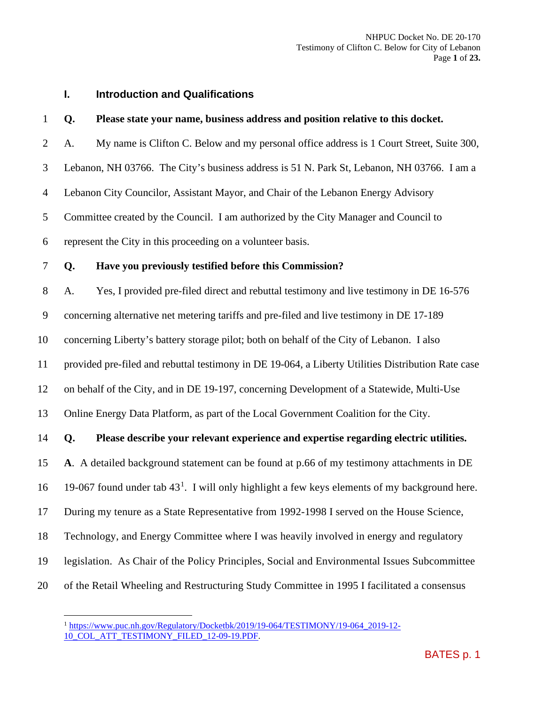# **I. Introduction and Qualifications**

#### **Q. Please state your name, business address and position relative to this docket.**

A. My name is Clifton C. Below and my personal office address is 1 Court Street, Suite 300,

Lebanon, NH 03766. The City's business address is 51 N. Park St, Lebanon, NH 03766. I am a

Lebanon City Councilor, Assistant Mayor, and Chair of the Lebanon Energy Advisory

Committee created by the Council. I am authorized by the City Manager and Council to

represent the City in this proceeding on a volunteer basis.

#### **Q. Have you previously testified before this Commission?**

A. Yes, I provided pre-filed direct and rebuttal testimony and live testimony in DE 16-576

concerning alternative net metering tariffs and pre-filed and live testimony in DE 17-189

concerning Liberty's battery storage pilot; both on behalf of the City of Lebanon. I also

provided pre-filed and rebuttal testimony in DE 19-064, a Liberty Utilities Distribution Rate case

on behalf of the City, and in DE 19-197, concerning Development of a Statewide, Multi-Use

Online Energy Data Platform, as part of the Local Government Coalition for the City.

# **Q. Please describe your relevant experience and expertise regarding electric utilities.**

**A**. A detailed background statement can be found at p.66 of my testimony attachments in DE

[1](#page-1-0)6 19-067 found under tab  $43<sup>1</sup>$ . I will only highlight a few keys elements of my background here.

During my tenure as a State Representative from 1992-1998 I served on the House Science,

Technology, and Energy Committee where I was heavily involved in energy and regulatory

- legislation. As Chair of the Policy Principles, Social and Environmental Issues Subcommittee
- <span id="page-1-0"></span>of the Retail Wheeling and Restructuring Study Committee in 1995 I facilitated a consensus

<sup>&</sup>lt;sup>1</sup> [https://www.puc.nh.gov/Regulatory/Docketbk/2019/19-064/TESTIMONY/19-064\\_2019-12-](https://www.puc.nh.gov/Regulatory/Docketbk/2019/19-064/TESTIMONY/19-064_2019-12-10_COL_ATT_TESTIMONY_FILED_12-09-19.PDF) [10\\_COL\\_ATT\\_TESTIMONY\\_FILED\\_12-09-19.PDF.](https://www.puc.nh.gov/Regulatory/Docketbk/2019/19-064/TESTIMONY/19-064_2019-12-10_COL_ATT_TESTIMONY_FILED_12-09-19.PDF)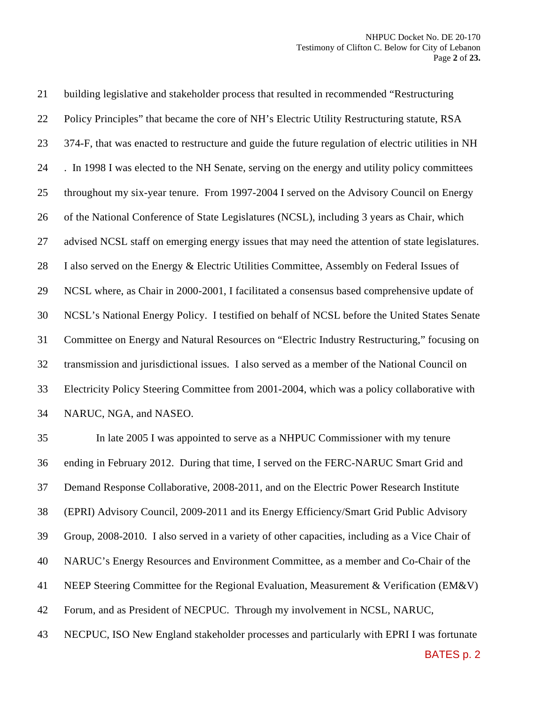building legislative and stakeholder process that resulted in recommended "Restructuring Policy Principles" that became the core of NH's Electric Utility Restructuring statute, RSA 374-F, that was enacted to restructure and guide the future regulation of electric utilities in NH . In 1998 I was elected to the NH Senate, serving on the energy and utility policy committees throughout my six-year tenure. From 1997-2004 I served on the Advisory Council on Energy of the National Conference of State Legislatures (NCSL), including 3 years as Chair, which advised NCSL staff on emerging energy issues that may need the attention of state legislatures. I also served on the Energy & Electric Utilities Committee, Assembly on Federal Issues of NCSL where, as Chair in 2000-2001, I facilitated a consensus based comprehensive update of NCSL's National Energy Policy. I testified on behalf of NCSL before the United States Senate Committee on Energy and Natural Resources on "Electric Industry Restructuring," focusing on transmission and jurisdictional issues. I also served as a member of the National Council on Electricity Policy Steering Committee from 2001-2004, which was a policy collaborative with NARUC, NGA, and NASEO.

 In late 2005 I was appointed to serve as a NHPUC Commissioner with my tenure ending in February 2012. During that time, I served on the FERC-NARUC Smart Grid and Demand Response Collaborative, 2008-2011, and on the Electric Power Research Institute (EPRI) Advisory Council, 2009-2011 and its Energy Efficiency/Smart Grid Public Advisory Group, 2008-2010. I also served in a variety of other capacities, including as a Vice Chair of NARUC's Energy Resources and Environment Committee, as a member and Co-Chair of the NEEP Steering Committee for the Regional Evaluation, Measurement & Verification (EM&V) Forum, and as President of NECPUC. Through my involvement in NCSL, NARUC, NECPUC, ISO New England stakeholder processes and particularly with EPRI I was fortunate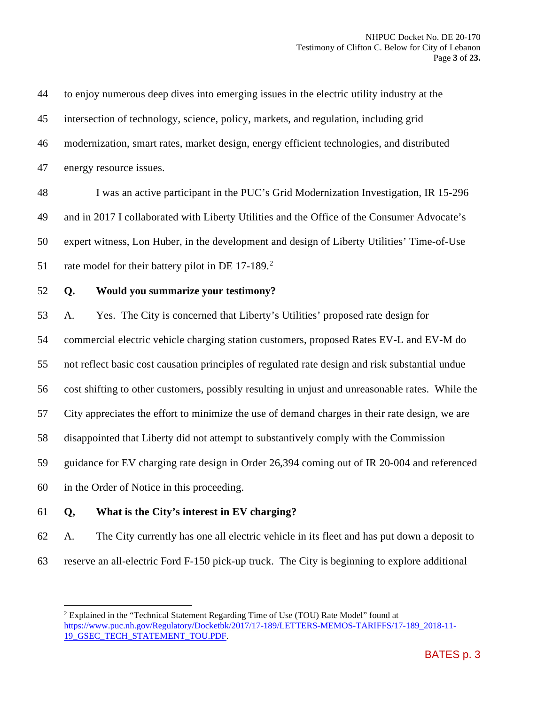to enjoy numerous deep dives into emerging issues in the electric utility industry at the intersection of technology, science, policy, markets, and regulation, including grid modernization, smart rates, market design, energy efficient technologies, and distributed energy resource issues. I was an active participant in the PUC's Grid Modernization Investigation, IR 15-296 and in 2017 I collaborated with Liberty Utilities and the Office of the Consumer Advocate's expert witness, Lon Huber, in the development and design of Liberty Utilities' Time-of-Use 51 rate model for their battery pilot in DE  $17-189$ <sup>[2](#page-3-0)</sup> **Q. Would you summarize your testimony?** A. Yes. The City is concerned that Liberty's Utilities' proposed rate design for commercial electric vehicle charging station customers, proposed Rates EV-L and EV-M do not reflect basic cost causation principles of regulated rate design and risk substantial undue cost shifting to other customers, possibly resulting in unjust and unreasonable rates. While the City appreciates the effort to minimize the use of demand charges in their rate design, we are disappointed that Liberty did not attempt to substantively comply with the Commission guidance for EV charging rate design in Order 26,394 coming out of IR 20-004 and referenced in the Order of Notice in this proceeding. **Q, What is the City's interest in EV charging?**

 A. The City currently has one all electric vehicle in its fleet and has put down a deposit to reserve an all-electric Ford F-150 pick-up truck. The City is beginning to explore additional

<span id="page-3-0"></span> Explained in the "Technical Statement Regarding Time of Use (TOU) Rate Model" found at [https://www.puc.nh.gov/Regulatory/Docketbk/2017/17-189/LETTERS-MEMOS-TARIFFS/17-189\\_2018-11-](https://www.puc.nh.gov/Regulatory/Docketbk/2017/17-189/LETTERS-MEMOS-TARIFFS/17-189_2018-11-19_GSEC_TECH_STATEMENT_TOU.PDF) [19\\_GSEC\\_TECH\\_STATEMENT\\_TOU.PDF.](https://www.puc.nh.gov/Regulatory/Docketbk/2017/17-189/LETTERS-MEMOS-TARIFFS/17-189_2018-11-19_GSEC_TECH_STATEMENT_TOU.PDF)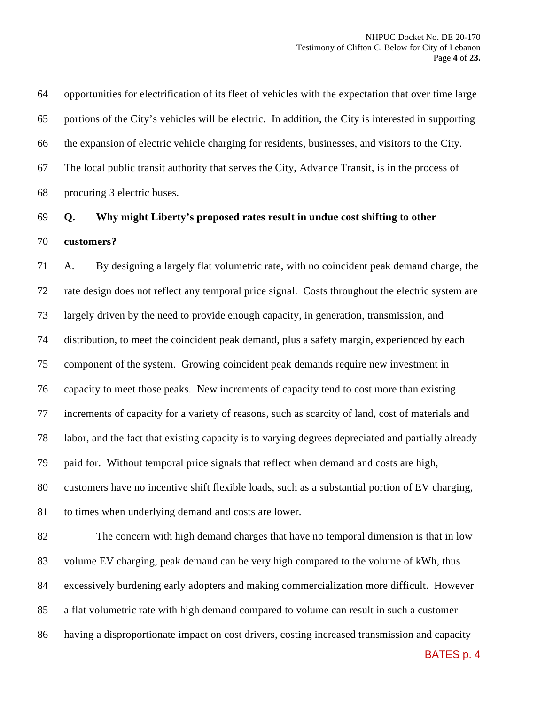opportunities for electrification of its fleet of vehicles with the expectation that over time large portions of the City's vehicles will be electric. In addition, the City is interested in supporting the expansion of electric vehicle charging for residents, businesses, and visitors to the City. The local public transit authority that serves the City, Advance Transit, is in the process of procuring 3 electric buses.

# **Q. Why might Liberty's proposed rates result in undue cost shifting to other customers?**

 A. By designing a largely flat volumetric rate, with no coincident peak demand charge, the rate design does not reflect any temporal price signal. Costs throughout the electric system are largely driven by the need to provide enough capacity, in generation, transmission, and distribution, to meet the coincident peak demand, plus a safety margin, experienced by each component of the system. Growing coincident peak demands require new investment in capacity to meet those peaks. New increments of capacity tend to cost more than existing increments of capacity for a variety of reasons, such as scarcity of land, cost of materials and labor, and the fact that existing capacity is to varying degrees depreciated and partially already paid for. Without temporal price signals that reflect when demand and costs are high, customers have no incentive shift flexible loads, such as a substantial portion of EV charging, to times when underlying demand and costs are lower.

 The concern with high demand charges that have no temporal dimension is that in low volume EV charging, peak demand can be very high compared to the volume of kWh, thus excessively burdening early adopters and making commercialization more difficult. However a flat volumetric rate with high demand compared to volume can result in such a customer having a disproportionate impact on cost drivers, costing increased transmission and capacity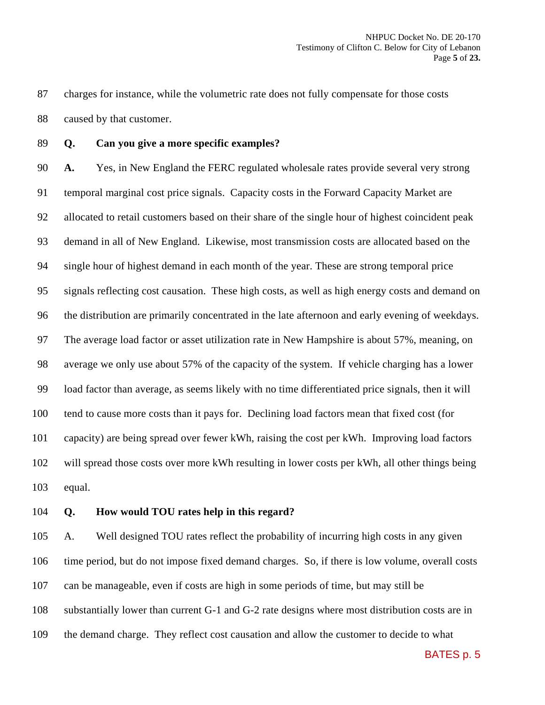charges for instance, while the volumetric rate does not fully compensate for those costs caused by that customer.

**Q. Can you give a more specific examples?**

 **A.** Yes, in New England the FERC regulated wholesale rates provide several very strong temporal marginal cost price signals. Capacity costs in the Forward Capacity Market are allocated to retail customers based on their share of the single hour of highest coincident peak demand in all of New England. Likewise, most transmission costs are allocated based on the single hour of highest demand in each month of the year. These are strong temporal price signals reflecting cost causation. These high costs, as well as high energy costs and demand on the distribution are primarily concentrated in the late afternoon and early evening of weekdays. The average load factor or asset utilization rate in New Hampshire is about 57%, meaning, on average we only use about 57% of the capacity of the system. If vehicle charging has a lower load factor than average, as seems likely with no time differentiated price signals, then it will tend to cause more costs than it pays for. Declining load factors mean that fixed cost (for capacity) are being spread over fewer kWh, raising the cost per kWh. Improving load factors will spread those costs over more kWh resulting in lower costs per kWh, all other things being equal.

**Q. How would TOU rates help in this regard?**

 A. Well designed TOU rates reflect the probability of incurring high costs in any given time period, but do not impose fixed demand charges. So, if there is low volume, overall costs can be manageable, even if costs are high in some periods of time, but may still be substantially lower than current G-1 and G-2 rate designs where most distribution costs are in the demand charge. They reflect cost causation and allow the customer to decide to what